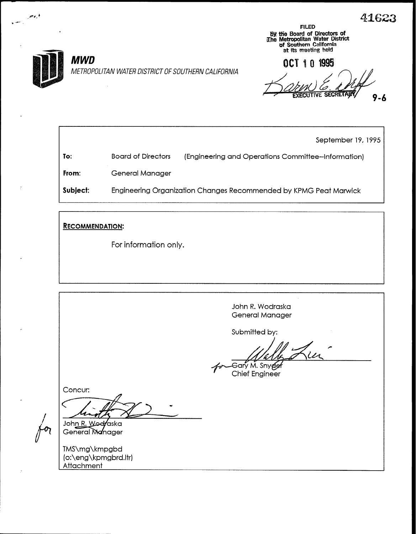41623



FILED 63 tlie Board of Directors of She Metropolitan Water District Df Southern California at its meeting held

QCT 1 0 199  $9 - 6$ 

To: From: Subject: September 19, 1995 Board of Directors (Engineering and Operations Committee-Information) General Manager Engineering Organization Changes Recommended by KPMG Peat Marwick

RECOMMENDATION:

For information only.

John R. Wodraska General Manager

Submitted by:

Gary M. Snyggf Chief Engineer

Concur:

/<br>)<br>م}

فردجر

 $\mathcal{U}^-$ 

John R. Woeraska General Manager

TMS\mg\kmpgbd (o:\eng\kpmgbrd.ltr) Attachment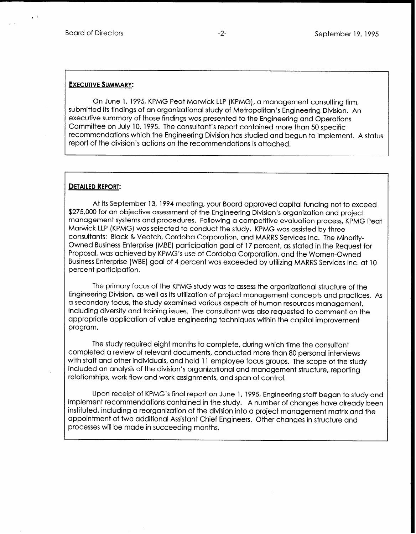## **EXECUTIVE SUMMARY:**

On June 1, 1995, KPMG Peat Marwick LLP (KPMG), a management consulting firm, submitted its findings of an organizational study of Metropolitan's Engineering Division. An executive summary of those findings was presented to the Engineering and Operations Committee on July 10, 1995. The consultant's report contained more than 50 specific recommendations which the Engineering Division has studied and begun to implement. A status report of the division's actions on the recommendations is attached.

## DETAILED REPORT:

At its September 13, 1994 meeting, your Board approved capital funding not to exceed \$275,000 for an objective assessment of the Engineering Division's organization and project management systems and procedures. Following a competitive evaluation process, KPMG Peat Marwick LLP (KPMG) was selected to conduct the study. KPMG was assisted by three consultants: Black & Veatch, Cordoba Corporation, and MARRS Services Inc. The Minority-Owned Business Enterprise (MBE) participation goal of 17 percent, as stated in the Request for Proposal, was achieved by KPMG's use of Cordoba Corporation, and the Women-Owned Business Enterprise (WBE) goal of 4 percent was exceeded by utilizing MARRS Services Inc. at 10 percent participation.

The primary focus of the KPMG study was to assess the organizational structure of the Engineering Division, as well as its utilization of project management concepts and practices. As a secondary focus, the study examined vatious aspects of human resources management, including diversity and training issues. The consultant was also requested to comment on the appropriate application of value engineering techniques within the capital improvement program.

The study required eight months to complete, during which time the consultant completed a review of relevant documents, conducted more than 80 personal interviews with staff and other individuals, and held 11 employee focus groups. The scope of the study included an analysis of the division's organizational and management structure, reporting relationships, work flow and work assignments, and span of control.

Upon receipt of KPMG's final report on June 1, 1995, Engineering staff began to study and implement recommendations contained in the study. A number of changes have already been instituted, including a reorganization of the division into a project management matrix and the appointment of two additional Assistant Chief Engineers. Other changes in structure and processes will be made in succeeding months.